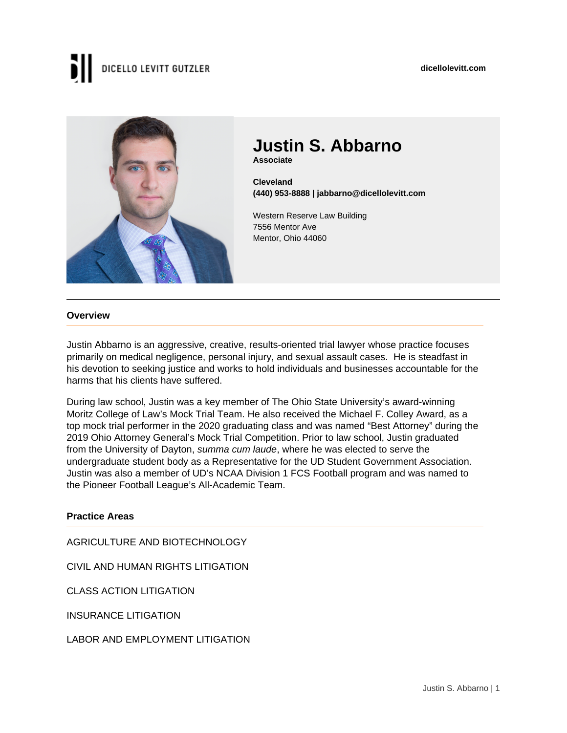#### **dicellolevitt.com**

# DICELLO LEVITT GUTZLER



## **Justin S. Abbarno Associate**

**Cleveland (440) 953-8888 | jabbarno@dicellolevitt.com**

Western Reserve Law Building 7556 Mentor Ave Mentor, Ohio 44060

#### **Overview**

Justin Abbarno is an aggressive, creative, results-oriented trial lawyer whose practice focuses primarily on medical negligence, personal injury, and sexual assault cases. He is steadfast in his devotion to seeking justice and works to hold individuals and businesses accountable for the harms that his clients have suffered.

During law school, Justin was a key member of The Ohio State University's award-winning Moritz College of Law's Mock Trial Team. He also received the Michael F. Colley Award, as a top mock trial performer in the 2020 graduating class and was named "Best Attorney" during the 2019 Ohio Attorney General's Mock Trial Competition. Prior to law school, Justin graduated from the University of Dayton, summa cum laude, where he was elected to serve the undergraduate student body as a Representative for the UD Student Government Association. Justin was also a member of UD's NCAA Division 1 FCS Football program and was named to the Pioneer Football League's All-Academic Team.

#### **Practice Areas**

AGRICULTURE AND BIOTECHNOLOGY

CIVIL AND HUMAN RIGHTS LITIGATION

CLASS ACTION LITIGATION

INSURANCE LITIGATION

LABOR AND EMPLOYMENT LITIGATION